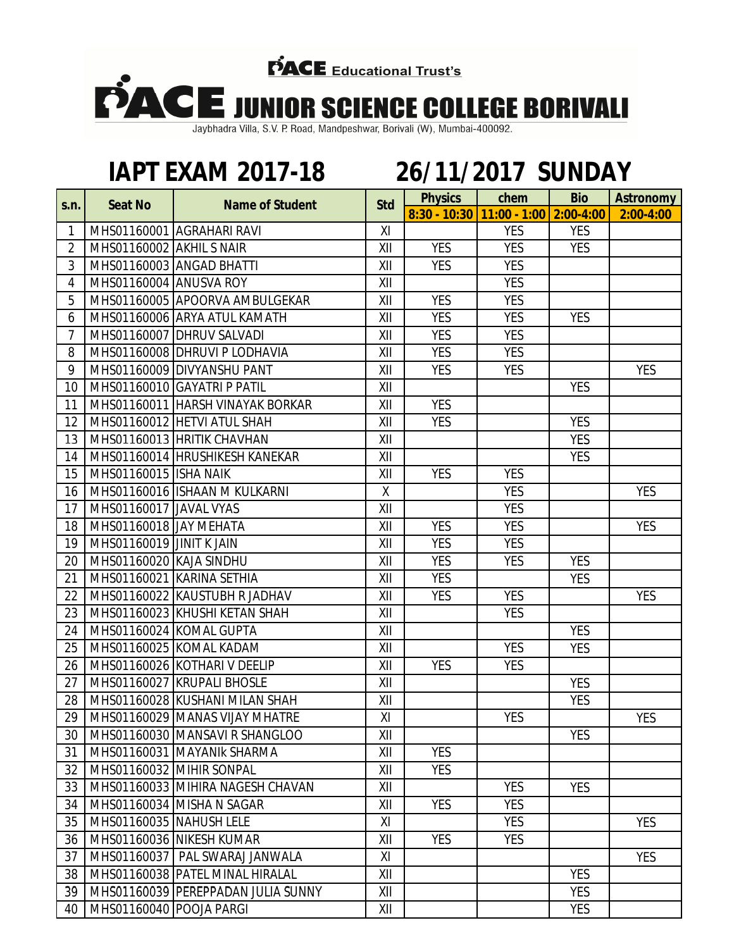

## **IAPT EXAM 2017-18 26/11/2017 SUNDAY**

| S.n.            | <b>Seat No</b>            | <b>Name of Student</b>               | <b>Std</b> | <b>Physics</b> | chem                        | <b>Bio</b>    | <b>Astronomy</b> |
|-----------------|---------------------------|--------------------------------------|------------|----------------|-----------------------------|---------------|------------------|
|                 |                           |                                      |            |                | 8:30 - 10:30   11:00 - 1:00 | $2:00 - 4:00$ | $2:00-4:00$      |
| 1               |                           | MHS01160001 AGRAHARI RAVI            | XI         |                | <b>YES</b>                  | <b>YES</b>    |                  |
| $\overline{2}$  | MHS01160002 AKHIL S NAIR  |                                      | XII        | <b>YES</b>     | <b>YES</b>                  | <b>YES</b>    |                  |
| $\overline{3}$  |                           | MHS01160003 ANGAD BHATTI             | XII        | <b>YES</b>     | <b>YES</b>                  |               |                  |
| 4               | MHS01160004 ANUSVA ROY    |                                      | XII        |                | <b>YES</b>                  |               |                  |
| 5               |                           | MHS01160005 APOORVA AMBULGEKAR       | XII        | <b>YES</b>     | <b>YES</b>                  |               |                  |
| 6               |                           | MHS01160006 ARYA ATUL KAMATH         | XII        | <b>YES</b>     | <b>YES</b>                  | <b>YES</b>    |                  |
| $\overline{7}$  |                           | MHS01160007 DHRUV SALVADI            | XII        | <b>YES</b>     | <b>YES</b>                  |               |                  |
| 8               |                           | MHS01160008 DHRUVI P LODHAVIA        | XII        | <b>YES</b>     | <b>YES</b>                  |               |                  |
| 9               |                           | MHS01160009 DIVYANSHU PANT           | XII        | <b>YES</b>     | <b>YES</b>                  |               | <b>YES</b>       |
| 10 <sup>°</sup> |                           | MHS01160010 GAYATRI P PATIL          | XII        |                |                             | <b>YES</b>    |                  |
| 11              |                           | MHS01160011 HARSH VINAYAK BORKAR     | XII        | YES            |                             |               |                  |
| 12              |                           | MHS01160012 HETVI ATUL SHAH          | XII        | <b>YES</b>     |                             | <b>YES</b>    |                  |
| 13              |                           | MHS01160013 HRITIK CHAVHAN           | XII        |                |                             | <b>YES</b>    |                  |
| 14              |                           | MHS01160014 HRUSHIKESH KANEKAR       | XII        |                |                             | <b>YES</b>    |                  |
| 15              | MHS01160015 ISHA NAIK     |                                      | XII        | <b>YES</b>     | <b>YES</b>                  |               |                  |
| 16              |                           | MHS01160016 ISHAAN M KULKARNI        | X          |                | <b>YES</b>                  |               | <b>YES</b>       |
| 17              | MHS01160017 JAVAL VYAS    |                                      | XII        |                | <b>YES</b>                  |               |                  |
| 18              | MHS01160018 JJAY MEHATA   |                                      | XII        | <b>YES</b>     | <b>YES</b>                  |               | <b>YES</b>       |
| 19              | MHS01160019 JJINIT K JAIN |                                      | XII        | <b>YES</b>     | <b>YES</b>                  |               |                  |
| 20              | MHS01160020 KAJA SINDHU   |                                      | XII        | <b>YES</b>     | <b>YES</b>                  | <b>YES</b>    |                  |
| 21              |                           | MHS01160021 KARINA SETHIA            | XII        | <b>YES</b>     |                             | <b>YES</b>    |                  |
| 22              |                           | MHS01160022 KAUSTUBH R JADHAV        | XII        | <b>YES</b>     | <b>YES</b>                  |               | <b>YES</b>       |
| 23              |                           | MHS01160023 KHUSHI KETAN SHAH        | XII        |                | <b>YES</b>                  |               |                  |
| 24              | MHS01160024 KOMAL GUPTA   |                                      | XII        |                |                             | <b>YES</b>    |                  |
| 25              |                           | MHS01160025 KOMAL KADAM              | XII        |                | <b>YES</b>                  | <b>YES</b>    |                  |
| 26              |                           | MHS01160026 KOTHARI V DEELIP         | XII        | <b>YES</b>     | <b>YES</b>                  |               |                  |
| 27              |                           | MHS01160027 KRUPALI BHOSLE           | XII        |                |                             | <b>YES</b>    |                  |
| 28              |                           | MHS01160028 KUSHANI MILAN SHAH       | XII        |                |                             | <b>YES</b>    |                  |
| 29              |                           | MHS01160029 MANAS VIJAY MHATRE       | XI         |                | <b>YES</b>                  |               | <b>YES</b>       |
| 30              |                           | MHS01160030 MANSAVI R SHANGLOO       | XII        |                |                             | YES           |                  |
| 31              |                           | MHS01160031 MAYANIK SHARMA           | XII        | <b>YES</b>     |                             |               |                  |
| 32              | MHS01160032 MIHIR SONPAL  |                                      | XII        | <b>YES</b>     |                             |               |                  |
| 33              |                           | MHS01160033 MIHIRA NAGESH CHAVAN     | XII        |                | <b>YES</b>                  | <b>YES</b>    |                  |
| 34              |                           | MHS01160034 MISHA N SAGAR            | XII        | <b>YES</b>     | <b>YES</b>                  |               |                  |
| 35              | MHS01160035 NAHUSH LELE   |                                      | XI         |                | YES                         |               | <b>YES</b>       |
| 36              |                           | MHS01160036 NIKESH KUMAR             | XII        | YES            | YES                         |               |                  |
| 37              |                           | MHS01160037   PAL SWARAJ JANWALA     | XI         |                |                             |               | <b>YES</b>       |
| 38              |                           | MHS01160038 PATEL MINAL HIRALAL      | XII        |                |                             | <b>YES</b>    |                  |
| 39              |                           | MHS01160039   PEREPPADAN JULIA SUNNY | XII        |                |                             | YES           |                  |
| 40              | MHS01160040 POOJA PARGI   |                                      | XII        |                |                             | <b>YES</b>    |                  |